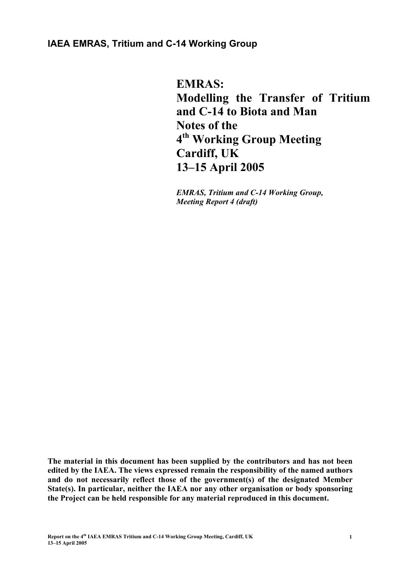# **IAEA EMRAS, Tritium and C-14 Working Group**

**EMRAS: Modelling the Transfer of Tritium and C-14 to Biota and Man Notes of the 4th Working Group Meeting Cardiff, UK 13–15 April 2005** 

*EMRAS, Tritium and C-14 Working Group, Meeting Report 4 (draft)* 

**The material in this document has been supplied by the contributors and has not been edited by the IAEA. The views expressed remain the responsibility of the named authors and do not necessarily reflect those of the government(s) of the designated Member State(s). In particular, neither the IAEA nor any other organisation or body sponsoring the Project can be held responsible for any material reproduced in this document.**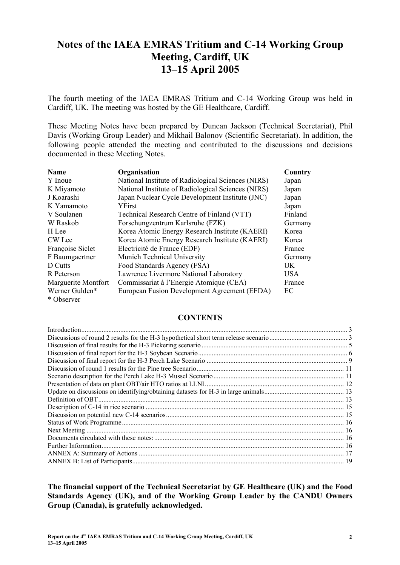# **Notes of the IAEA EMRAS Tritium and C-14 Working Group Meeting, Cardiff, UK 13–15 April 2005**

The fourth meeting of the IAEA EMRAS Tritium and C-14 Working Group was held in Cardiff, UK. The meeting was hosted by the GE Healthcare, Cardiff.

These Meeting Notes have been prepared by Duncan Jackson (Technical Secretariat), Phil Davis (Working Group Leader) and Mikhail Balonov (Scientific Secretariat). In addition, the following people attended the meeting and contributed to the discussions and decisions documented in these Meeting Notes.

| <b>Name</b>         | Organisation                                       | Country    |
|---------------------|----------------------------------------------------|------------|
| Y Inoue             | National Institute of Radiological Sciences (NIRS) | Japan      |
| K Miyamoto          | National Institute of Radiological Sciences (NIRS) | Japan      |
| J Koarashi          | Japan Nuclear Cycle Development Institute (JNC)    | Japan      |
| K Yamamoto          | YFirst                                             | Japan      |
| V Soulanen          | Technical Research Centre of Finland (VTT)         | Finland    |
| W Raskob            | Forschungzentrum Karlsruhe (FZK)                   | Germany    |
| H Lee               | Korea Atomic Energy Research Institute (KAERI)     | Korea      |
| CW Lee              | Korea Atomic Energy Research Institute (KAERI)     | Korea      |
| Françoise Siclet    | Electricité de France (EDF)                        | France     |
| F Baumgaertner      | Munich Technical University                        | Germany    |
| D Cutts             | Food Standards Agency (FSA)                        | UK         |
| R Peterson          | Lawrence Livermore National Laboratory             | <b>USA</b> |
| Marguerite Montfort | Commissariat à l'Energie Atomique (CEA)            | France     |
| Werner Gulden*      | European Fusion Development Agreement (EFDA)       | EC         |
| * Observer          |                                                    |            |

#### **CONTENTS**

**The financial support of the Technical Secretariat by GE Healthcare (UK) and the Food Standards Agency (UK), and of the Working Group Leader by the CANDU Owners Group (Canada), is gratefully acknowledged.**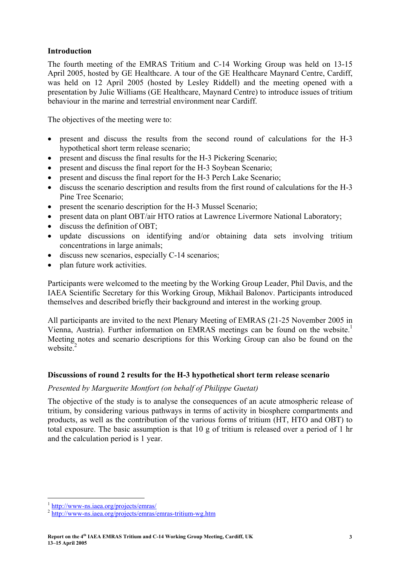#### **Introduction**

The fourth meeting of the EMRAS Tritium and C-14 Working Group was held on 13-15 April 2005, hosted by GE Healthcare. A tour of the GE Healthcare Maynard Centre, Cardiff, was held on 12 April 2005 (hosted by Lesley Riddell) and the meeting opened with a presentation by Julie Williams (GE Healthcare, Maynard Centre) to introduce issues of tritium behaviour in the marine and terrestrial environment near Cardiff.

The objectives of the meeting were to:

- present and discuss the results from the second round of calculations for the H-3 hypothetical short term release scenario;
- present and discuss the final results for the H-3 Pickering Scenario;
- present and discuss the final report for the H-3 Soybean Scenario;
- present and discuss the final report for the H-3 Perch Lake Scenario;
- discuss the scenario description and results from the first round of calculations for the H-3 Pine Tree Scenario;
- present the scenario description for the H-3 Mussel Scenario;
- present data on plant OBT/air HTO ratios at Lawrence Livermore National Laboratory;
- discuss the definition of OBT:
- update discussions on identifying and/or obtaining data sets involving tritium concentrations in large animals;
- discuss new scenarios, especially C-14 scenarios;
- plan future work activities.

Participants were welcomed to the meeting by the Working Group Leader, Phil Davis, and the IAEA Scientific Secretary for this Working Group, Mikhail Balonov. Participants introduced themselves and described briefly their background and interest in the working group.

All participants are invited to the next Plenary Meeting of EMRAS (21-25 November 2005 in Vienna, Austria). Further information on EMRAS meetings can be found on the website.<sup>1</sup> Meeting notes and scenario descriptions for this Working Group can also be found on the website.<sup>2</sup>

#### **Discussions of round 2 results for the H-3 hypothetical short term release scenario**

#### *Presented by Marguerite Montfort (on behalf of Philippe Guetat)*

The objective of the study is to analyse the consequences of an acute atmospheric release of tritium, by considering various pathways in terms of activity in biosphere compartments and products, as well as the contribution of the various forms of tritium (HT, HTO and OBT) to total exposure. The basic assumption is that 10 g of tritium is released over a period of 1 hr and the calculation period is 1 year.

 $\overline{a}$ 

<sup>&</sup>lt;sup>1</sup> http://www-ns.iaea.org/projects/emras/<br><sup>2</sup> http://www-ns.iaea.org/projects/emras/emras-tritium-wg.htm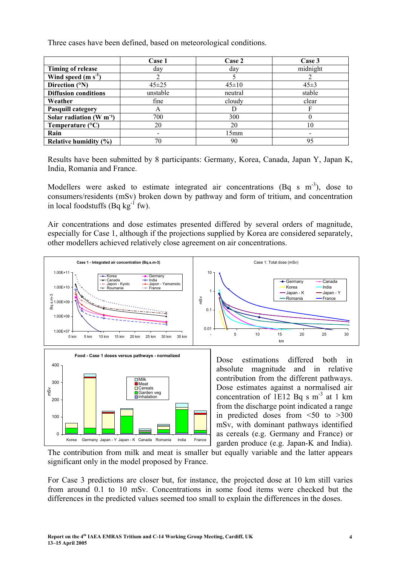Three cases have been defined, based on meteorological conditions.

|                             | Case 1      | Case 2      | Case 3   |
|-----------------------------|-------------|-------------|----------|
| <b>Timing of release</b>    | day         | day         | midnight |
| Wind speed $(m s-1)$        |             |             |          |
| Direction (°N)              | $45 \pm 25$ | $45 \pm 10$ | $45\pm3$ |
| <b>Diffusion conditions</b> | unstable    | neutral     | stable   |
| Weather                     | fine        | cloudy      | clear    |
| <b>Pasquill category</b>    | A           | D           |          |
| Solar radiation $(W m-2)$   | 700         | 300         |          |
| Temperature $(^{\circ}C)$   | 20          | 20          | 10       |
| Rain                        |             | 15mm        |          |
| Relative humidity $(\% )$   | 70          | 90          | 95       |

Results have been submitted by 8 participants: Germany, Korea, Canada, Japan Y, Japan K, India, Romania and France.

Modellers were asked to estimate integrated air concentrations (Bq s  $m^{-3}$ ), dose to consumers/residents (mSv) broken down by pathway and form of tritium, and concentration in local foodstuffs (Bq  $kg^{-1}$  fw).

Air concentrations and dose estimates presented differed by several orders of magnitude, especially for Case 1, although if the projections supplied by Korea are considered separately, other modellers achieved relatively close agreement on air concentrations.



Dose estimates against a normalised air concentration of 1E12 Bq s  $m<sup>-3</sup>$  at 1 km from the discharge point indicated a range in predicted doses from  $\leq 50$  to  $\geq 300$ mSv, with dominant pathways identified as cereals (e.g. Germany and France) or garden produce (e.g. Japan-K and India).

The contribution from milk and meat is smaller but equally variable and the latter appears significant only in the model proposed by France.

For Case 3 predictions are closer but, for instance, the projected dose at 10 km still varies from around 0.1 to 10 mSv. Concentrations in some food items were checked but the differences in the predicted values seemed too small to explain the differences in the doses.

Korea Germany Japan - Y Japan - K Canada Romania India France

Inhalation

 $\Omega$ 

100

200

mSv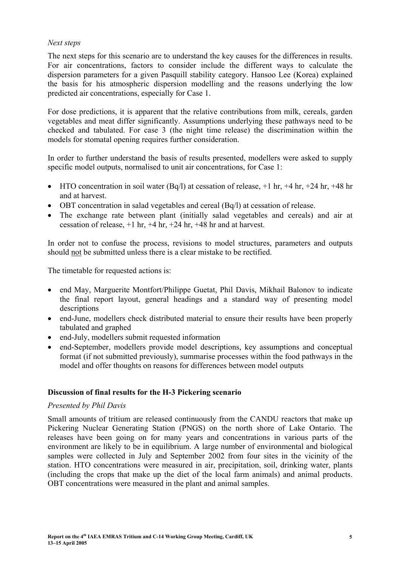### *Next steps*

The next steps for this scenario are to understand the key causes for the differences in results. For air concentrations, factors to consider include the different ways to calculate the dispersion parameters for a given Pasquill stability category. Hansoo Lee (Korea) explained the basis for his atmospheric dispersion modelling and the reasons underlying the low predicted air concentrations, especially for Case 1.

For dose predictions, it is apparent that the relative contributions from milk, cereals, garden vegetables and meat differ significantly. Assumptions underlying these pathways need to be checked and tabulated. For case 3 (the night time release) the discrimination within the models for stomatal opening requires further consideration.

In order to further understand the basis of results presented, modellers were asked to supply specific model outputs, normalised to unit air concentrations, for Case 1:

- HTO concentration in soil water  $(Bq/l)$  at cessation of release,  $+1$  hr,  $+4$  hr,  $+24$  hr,  $+48$  hr and at harvest.
- OBT concentration in salad vegetables and cereal (Bq/l) at cessation of release.
- The exchange rate between plant (initially salad vegetables and cereals) and air at cessation of release,  $+1$  hr,  $+4$  hr,  $+24$  hr,  $+48$  hr and at harvest.

In order not to confuse the process, revisions to model structures, parameters and outputs should not be submitted unless there is a clear mistake to be rectified.

The timetable for requested actions is:

- end May, Marguerite Montfort/Philippe Guetat, Phil Davis, Mikhail Balonov to indicate the final report layout, general headings and a standard way of presenting model descriptions
- end-June, modellers check distributed material to ensure their results have been properly tabulated and graphed
- end-July, modellers submit requested information
- end-September, modellers provide model descriptions, key assumptions and conceptual format (if not submitted previously), summarise processes within the food pathways in the model and offer thoughts on reasons for differences between model outputs

# **Discussion of final results for the H-3 Pickering scenario**

#### *Presented by Phil Davis*

Small amounts of tritium are released continuously from the CANDU reactors that make up Pickering Nuclear Generating Station (PNGS) on the north shore of Lake Ontario. The releases have been going on for many years and concentrations in various parts of the environment are likely to be in equilibrium. A large number of environmental and biological samples were collected in July and September 2002 from four sites in the vicinity of the station. HTO concentrations were measured in air, precipitation, soil, drinking water, plants (including the crops that make up the diet of the local farm animals) and animal products. OBT concentrations were measured in the plant and animal samples.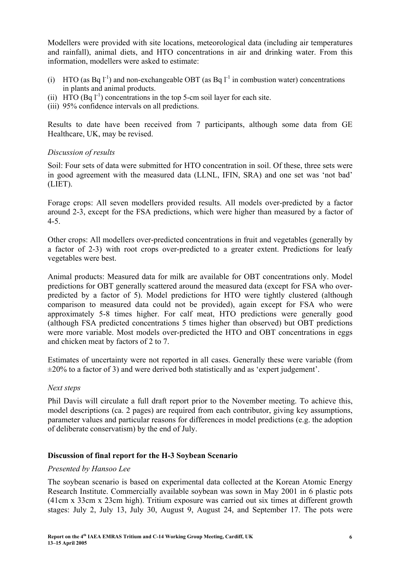Modellers were provided with site locations, meteorological data (including air temperatures and rainfall), animal diets, and HTO concentrations in air and drinking water. From this information, modellers were asked to estimate:

- (i) HTO (as Bq  $l^{-1}$ ) and non-exchangeable OBT (as Bq  $l^{-1}$  in combustion water) concentrations in plants and animal products.
- (ii) HTO  $(Bq 1<sup>-1</sup>)$  concentrations in the top 5-cm soil layer for each site.
- (iii) 95% confidence intervals on all predictions.

Results to date have been received from 7 participants, although some data from GE Healthcare, UK, may be revised.

# *Discussion of results*

Soil: Four sets of data were submitted for HTO concentration in soil. Of these, three sets were in good agreement with the measured data (LLNL, IFIN, SRA) and one set was 'not bad' (LIET).

Forage crops: All seven modellers provided results. All models over-predicted by a factor around 2-3, except for the FSA predictions, which were higher than measured by a factor of 4-5.

Other crops: All modellers over-predicted concentrations in fruit and vegetables (generally by a factor of 2-3) with root crops over-predicted to a greater extent. Predictions for leafy vegetables were best.

Animal products: Measured data for milk are available for OBT concentrations only. Model predictions for OBT generally scattered around the measured data (except for FSA who overpredicted by a factor of 5). Model predictions for HTO were tightly clustered (although comparison to measured data could not be provided), again except for FSA who were approximately 5-8 times higher. For calf meat, HTO predictions were generally good (although FSA predicted concentrations 5 times higher than observed) but OBT predictions were more variable. Most models over-predicted the HTO and OBT concentrations in eggs and chicken meat by factors of 2 to 7.

Estimates of uncertainty were not reported in all cases. Generally these were variable (from  $\pm 20\%$  to a factor of 3) and were derived both statistically and as 'expert judgement'.

#### *Next steps*

Phil Davis will circulate a full draft report prior to the November meeting. To achieve this, model descriptions (ca. 2 pages) are required from each contributor, giving key assumptions, parameter values and particular reasons for differences in model predictions (e.g. the adoption of deliberate conservatism) by the end of July.

# **Discussion of final report for the H-3 Soybean Scenario**

#### *Presented by Hansoo Lee*

The soybean scenario is based on experimental data collected at the Korean Atomic Energy Research Institute. Commercially available soybean was sown in May 2001 in 6 plastic pots (41cm x 33cm x 23cm high). Tritium exposure was carried out six times at different growth stages: July 2, July 13, July 30, August 9, August 24, and September 17. The pots were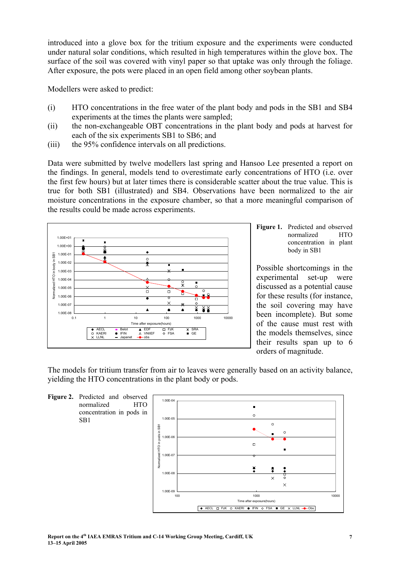introduced into a glove box for the tritium exposure and the experiments were conducted under natural solar conditions, which resulted in high temperatures within the glove box. The surface of the soil was covered with vinyl paper so that uptake was only through the foliage. After exposure, the pots were placed in an open field among other soybean plants.

Modellers were asked to predict:

- (i) HTO concentrations in the free water of the plant body and pods in the SB1 and SB4 experiments at the times the plants were sampled;
- (ii) the non-exchangeable OBT concentrations in the plant body and pods at harvest for each of the six experiments SB1 to SB6; and
- (iii) the 95% confidence intervals on all predictions.

Data were submitted by twelve modellers last spring and Hansoo Lee presented a report on the findings. In general, models tend to overestimate early concentrations of HTO (i.e. over the first few hours) but at later times there is considerable scatter about the true value. This is true for both SB1 (illustrated) and SB4. Observations have been normalized to the air moisture concentrations in the exposure chamber, so that a more meaningful comparison of the results could be made across experiments.



Figure 1. Predicted and observed normalized HTO concentration in plant body in SB1

Possible shortcomings in the experimental set-up were discussed as a potential cause for these results (for instance, the soil covering may have been incomplete). But some of the cause must rest with the models themselves, since their results span up to 6 orders of magnitude.

The models for tritium transfer from air to leaves were generally based on an activity balance, yielding the HTO concentrations in the plant body or pods.



SB1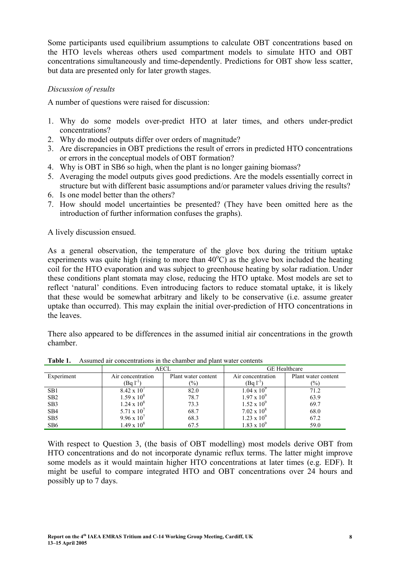Some participants used equilibrium assumptions to calculate OBT concentrations based on the HTO levels whereas others used compartment models to simulate HTO and OBT concentrations simultaneously and time-dependently. Predictions for OBT show less scatter, but data are presented only for later growth stages.

# *Discussion of results*

A number of questions were raised for discussion:

- 1. Why do some models over-predict HTO at later times, and others under-predict concentrations?
- 2. Why do model outputs differ over orders of magnitude?
- 3. Are discrepancies in OBT predictions the result of errors in predicted HTO concentrations or errors in the conceptual models of OBT formation?
- 4. Why is OBT in SB6 so high, when the plant is no longer gaining biomass?
- 5. Averaging the model outputs gives good predictions. Are the models essentially correct in structure but with different basic assumptions and/or parameter values driving the results?
- 6. Is one model better than the others?
- 7. How should model uncertainties be presented? (They have been omitted here as the introduction of further information confuses the graphs).

A lively discussion ensued.

As a general observation, the temperature of the glove box during the tritium uptake experiments was quite high (rising to more than  $40^{\circ}$ C) as the glove box included the heating coil for the HTO evaporation and was subject to greenhouse heating by solar radiation. Under these conditions plant stomata may close, reducing the HTO uptake. Most models are set to reflect 'natural' conditions. Even introducing factors to reduce stomatal uptake, it is likely that these would be somewhat arbitrary and likely to be conservative (i.e. assume greater uptake than occurred). This may explain the initial over-prediction of HTO concentrations in the leaves.

There also appeared to be differences in the assumed initial air concentrations in the growth chamber.

|                 | AECL                 |                     |                      | <b>GE</b> Healthcare |
|-----------------|----------------------|---------------------|----------------------|----------------------|
| Experiment      | Air concentration    | Plant water content | Air concentration    | Plant water content  |
|                 | (Bg $1-1$ )          | $(\%)$              | (Bg l <sup>-1</sup>  | $(\%)$               |
| SB <sub>1</sub> | $8.42 \times 10^{7}$ | 82.0                | $1.04 \times 10^{9}$ | 71.2                 |
| SB2             | $1.59 \times 10^8$   | 78.7                | $1.97 \times 10^{9}$ | 63.9                 |
| SB <sub>3</sub> | $1.24 \times 10^8$   | 73.3                | $1.52 \times 10^{9}$ | 69.7                 |
| SB <sub>4</sub> | 5.71 x $10'$         | 68.7                | $7.02 \times 10^8$   | 68.0                 |
| SB <sub>5</sub> | $9.96 \times 10^{7}$ | 68.3                | $1.23 \times 10^{9}$ | 67.2                 |
| SB <sub>6</sub> | $1.49 \times 10^8$   | 67.5                | $1.83 \times 10^{9}$ | 59.0                 |

**Table 1.** Assumed air concentrations in the chamber and plant water contents

With respect to Question 3, (the basis of OBT modelling) most models derive OBT from HTO concentrations and do not incorporate dynamic reflux terms. The latter might improve some models as it would maintain higher HTO concentrations at later times (e.g. EDF). It might be useful to compare integrated HTO and OBT concentrations over 24 hours and possibly up to 7 days.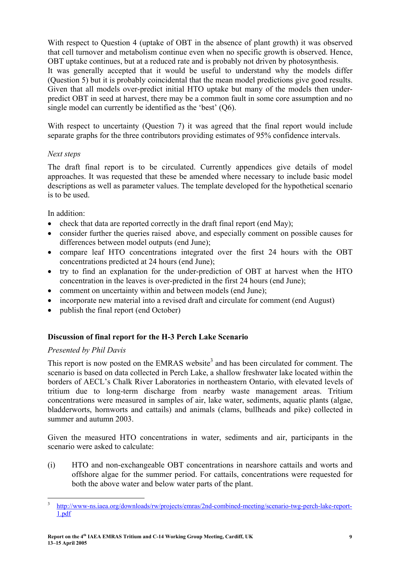With respect to Question 4 (uptake of OBT in the absence of plant growth) it was observed that cell turnover and metabolism continue even when no specific growth is observed. Hence, OBT uptake continues, but at a reduced rate and is probably not driven by photosynthesis.

It was generally accepted that it would be useful to understand why the models differ (Question 5) but it is probably coincidental that the mean model predictions give good results. Given that all models over-predict initial HTO uptake but many of the models then underpredict OBT in seed at harvest, there may be a common fault in some core assumption and no single model can currently be identified as the 'best' (Q6).

With respect to uncertainty (Question 7) it was agreed that the final report would include separate graphs for the three contributors providing estimates of 95% confidence intervals.

# *Next steps*

The draft final report is to be circulated. Currently appendices give details of model approaches. It was requested that these be amended where necessary to include basic model descriptions as well as parameter values. The template developed for the hypothetical scenario is to be used.

# In addition:

- check that data are reported correctly in the draft final report (end May);
- consider further the queries raised above, and especially comment on possible causes for differences between model outputs (end June);
- compare leaf HTO concentrations integrated over the first 24 hours with the OBT concentrations predicted at 24 hours (end June);
- try to find an explanation for the under-prediction of OBT at harvest when the HTO concentration in the leaves is over-predicted in the first 24 hours (end June);
- comment on uncertainty within and between models (end June);
- incorporate new material into a revised draft and circulate for comment (end August)
- publish the final report (end October)

# **Discussion of final report for the H-3 Perch Lake Scenario**

# *Presented by Phil Davis*

This report is now posted on the EMRAS website<sup>3</sup> and has been circulated for comment. The scenario is based on data collected in Perch Lake, a shallow freshwater lake located within the borders of AECL's Chalk River Laboratories in northeastern Ontario, with elevated levels of tritium due to long-term discharge from nearby waste management areas. Tritium concentrations were measured in samples of air, lake water, sediments, aquatic plants (algae, bladderworts, hornworts and cattails) and animals (clams, bullheads and pike) collected in summer and autumn 2003.

Given the measured HTO concentrations in water, sediments and air, participants in the scenario were asked to calculate:

(i) HTO and non-exchangeable OBT concentrations in nearshore cattails and worts and offshore algae for the summer period. For cattails, concentrations were requested for both the above water and below water parts of the plant.

 3 http://www-ns.iaea.org/downloads/rw/projects/emras/2nd-combined-meeting/scenario-twg-perch-lake-report-1.pdf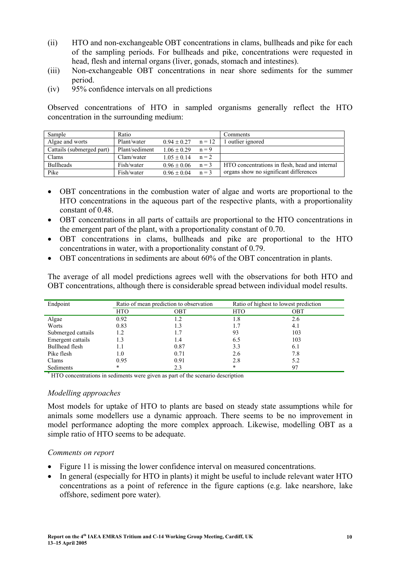- (ii) HTO and non-exchangeable OBT concentrations in clams, bullheads and pike for each of the sampling periods. For bullheads and pike, concentrations were requested in head, flesh and internal organs (liver, gonads, stomach and intestines).
- (iii) Non-exchangeable OBT concentrations in near shore sediments for the summer period.
- (iv) 95% confidence intervals on all predictions

Observed concentrations of HTO in sampled organisms generally reflect the HTO concentration in the surrounding medium:

| Sample                    | Ratio          |                 |          | Comments                                       |
|---------------------------|----------------|-----------------|----------|------------------------------------------------|
| Algae and worts           | Plant/water    | $0.94 \pm 0.27$ | $n = 12$ | outlier ignored                                |
| Cattails (submerged part) | Plant/sediment | $1.06 \pm 0.29$ | $n = 9$  |                                                |
| Clams                     | Clam/water     | $1.05 \pm 0.14$ | $n = 2$  |                                                |
| <b>Bullheads</b>          | Fish/water     | $0.96 \pm 0.06$ | $n = 3$  | HTO concentrations in flesh, head and internal |
| Pike                      | Fish/water     | $0.96 \pm 0.04$ | $n = 3$  | organs show no significant differences         |

- OBT concentrations in the combustion water of algae and worts are proportional to the HTO concentrations in the aqueous part of the respective plants, with a proportionality constant of 0.48.
- OBT concentrations in all parts of cattails are proportional to the HTO concentrations in the emergent part of the plant, with a proportionality constant of 0.70.
- OBT concentrations in clams, bullheads and pike are proportional to the HTO concentrations in water, with a proportionality constant of 0.79.
- OBT concentrations in sediments are about 60% of the OBT concentration in plants.

The average of all model predictions agrees well with the observations for both HTO and OBT concentrations, although there is considerable spread between individual model results.

| Endpoint           | Ratio of mean prediction to observation |      | Ratio of highest to lowest prediction |     |
|--------------------|-----------------------------------------|------|---------------------------------------|-----|
|                    | <b>HTO</b>                              | OBT  | <b>HTO</b>                            | OBT |
| Algae              | 0.92                                    |      | 1.8                                   | 2.6 |
| Worts              | 0.83                                    |      |                                       | 4.1 |
| Submerged cattails | 1.2                                     |      | 93                                    | 103 |
| Emergent cattails  | 1.3                                     | 1.4  | 6.5                                   | 103 |
| Bullhead flesh     | 1.1                                     | 0.87 | 3.3                                   | 6.1 |
| Pike flesh         | 1.0                                     | 0.71 | 2.6                                   | 7.8 |
| Clams              | 0.95                                    | 0.91 | 2.8                                   | 5.2 |
| Sediments          | *                                       | 2.3  | *                                     | 97  |

\* HTO concentrations in sediments were given as part of the scenario description

# *Modelling approaches*

Most models for uptake of HTO to plants are based on steady state assumptions while for animals some modellers use a dynamic approach. There seems to be no improvement in model performance adopting the more complex approach. Likewise, modelling OBT as a simple ratio of HTO seems to be adequate.

# *Comments on report*

- Figure 11 is missing the lower confidence interval on measured concentrations.
- In general (especially for HTO in plants) it might be useful to include relevant water HTO concentrations as a point of reference in the figure captions (e.g. lake nearshore, lake offshore, sediment pore water).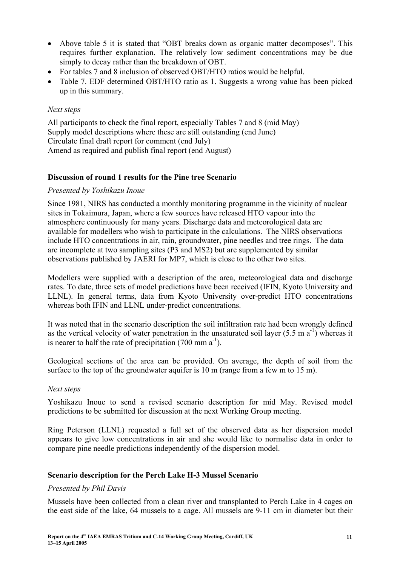- Above table 5 it is stated that "OBT breaks down as organic matter decomposes". This requires further explanation. The relatively low sediment concentrations may be due simply to decay rather than the breakdown of OBT.
- For tables 7 and 8 inclusion of observed OBT/HTO ratios would be helpful.
- Table 7. EDF determined OBT/HTO ratio as 1. Suggests a wrong value has been picked up in this summary.

#### *Next steps*

All participants to check the final report, especially Tables 7 and 8 (mid May) Supply model descriptions where these are still outstanding (end June) Circulate final draft report for comment (end July) Amend as required and publish final report (end August)

#### **Discussion of round 1 results for the Pine tree Scenario**

#### *Presented by Yoshikazu Inoue*

Since 1981, NIRS has conducted a monthly monitoring programme in the vicinity of nuclear sites in Tokaimura, Japan, where a few sources have released HTO vapour into the atmosphere continuously for many years. Discharge data and meteorological data are available for modellers who wish to participate in the calculations. The NIRS observations include HTO concentrations in air, rain, groundwater, pine needles and tree rings. The data are incomplete at two sampling sites (P3 and MS2) but are supplemented by similar observations published by JAERI for MP7, which is close to the other two sites.

Modellers were supplied with a description of the area, meteorological data and discharge rates. To date, three sets of model predictions have been received (IFIN, Kyoto University and LLNL). In general terms, data from Kyoto University over-predict HTO concentrations whereas both IFIN and LLNL under-predict concentrations.

It was noted that in the scenario description the soil infiltration rate had been wrongly defined as the vertical velocity of water penetration in the unsaturated soil layer  $(5.5 \text{ m a}^{-1})$  whereas it is nearer to half the rate of precipitation  $(700 \text{ mm a}^{-1})$ .

Geological sections of the area can be provided. On average, the depth of soil from the surface to the top of the groundwater aquifer is 10 m (range from a few m to 15 m).

#### *Next steps*

Yoshikazu Inoue to send a revised scenario description for mid May. Revised model predictions to be submitted for discussion at the next Working Group meeting.

Ring Peterson (LLNL) requested a full set of the observed data as her dispersion model appears to give low concentrations in air and she would like to normalise data in order to compare pine needle predictions independently of the dispersion model.

#### **Scenario description for the Perch Lake H-3 Mussel Scenario**

#### *Presented by Phil Davis*

Mussels have been collected from a clean river and transplanted to Perch Lake in 4 cages on the east side of the lake, 64 mussels to a cage. All mussels are 9-11 cm in diameter but their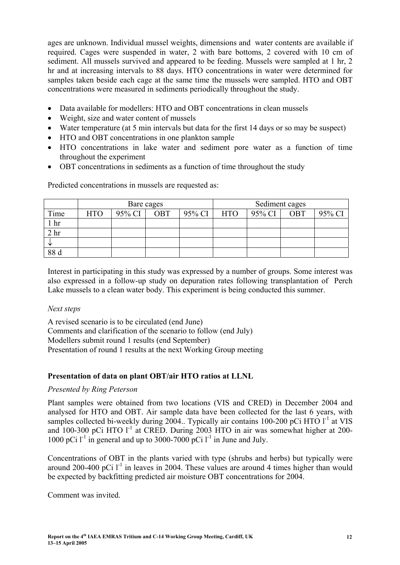ages are unknown. Individual mussel weights, dimensions and water contents are available if required. Cages were suspended in water, 2 with bare bottoms, 2 covered with 10 cm of sediment. All mussels survived and appeared to be feeding. Mussels were sampled at 1 hr, 2 hr and at increasing intervals to 88 days. HTO concentrations in water were determined for samples taken beside each cage at the same time the mussels were sampled. HTO and OBT concentrations were measured in sediments periodically throughout the study.

- Data available for modellers: HTO and OBT concentrations in clean mussels
- Weight, size and water content of mussels
- Water temperature (at 5 min intervals but data for the first 14 days or so may be suspect)
- HTO and OBT concentrations in one plankton sample
- HTO concentrations in lake water and sediment pore water as a function of time throughout the experiment
- OBT concentrations in sediments as a function of time throughout the study

|                 | Bare cages |        |            |        | Sediment cages |        |            |        |
|-----------------|------------|--------|------------|--------|----------------|--------|------------|--------|
| Time            | <b>HTO</b> | 95% CI | <b>OBT</b> | 95% CI | <b>HTO</b>     | 95% CI | <b>OBT</b> | 95% CI |
| ı hr            |            |        |            |        |                |        |            |        |
| 2 <sup>hr</sup> |            |        |            |        |                |        |            |        |
|                 |            |        |            |        |                |        |            |        |
| 88 d            |            |        |            |        |                |        |            |        |

Predicted concentrations in mussels are requested as:

Interest in participating in this study was expressed by a number of groups. Some interest was also expressed in a follow-up study on depuration rates following transplantation of Perch Lake mussels to a clean water body. This experiment is being conducted this summer.

# *Next steps*

A revised scenario is to be circulated (end June)

Comments and clarification of the scenario to follow (end July)

Modellers submit round 1 results (end September)

Presentation of round 1 results at the next Working Group meeting

# **Presentation of data on plant OBT/air HTO ratios at LLNL**

# *Presented by Ring Peterson*

Plant samples were obtained from two locations (VIS and CRED) in December 2004 and analysed for HTO and OBT. Air sample data have been collected for the last 6 years, with samples collected bi-weekly during 2004.. Typically air contains 100-200 pCi HTO  $I<sup>-1</sup>$  at VIS and  $100-300$  pCi HTO  $1^1$  at CRED. During 2003 HTO in air was somewhat higher at 200-1000 pCi  $1^{-1}$  in general and up to 3000-7000 pCi  $1^{-1}$  in June and July.

Concentrations of OBT in the plants varied with type (shrubs and herbs) but typically were around 200-400 pCi  $I<sup>-1</sup>$  in leaves in 2004. These values are around 4 times higher than would be expected by backfitting predicted air moisture OBT concentrations for 2004.

Comment was invited.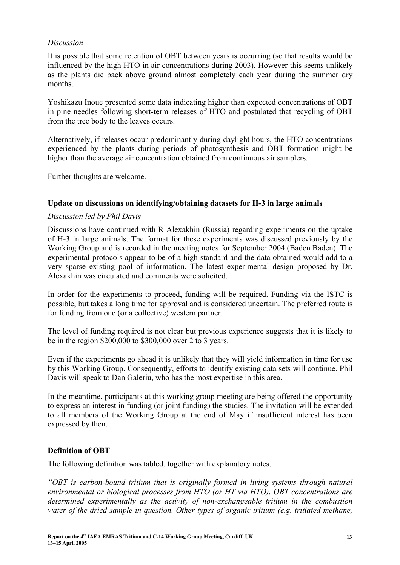### *Discussion*

It is possible that some retention of OBT between years is occurring (so that results would be influenced by the high HTO in air concentrations during 2003). However this seems unlikely as the plants die back above ground almost completely each year during the summer dry months.

Yoshikazu Inoue presented some data indicating higher than expected concentrations of OBT in pine needles following short-term releases of HTO and postulated that recycling of OBT from the tree body to the leaves occurs.

Alternatively, if releases occur predominantly during daylight hours, the HTO concentrations experienced by the plants during periods of photosynthesis and OBT formation might be higher than the average air concentration obtained from continuous air samplers.

Further thoughts are welcome.

#### **Update on discussions on identifying/obtaining datasets for H-3 in large animals**

#### *Discussion led by Phil Davis*

Discussions have continued with R Alexakhin (Russia) regarding experiments on the uptake of H-3 in large animals. The format for these experiments was discussed previously by the Working Group and is recorded in the meeting notes for September 2004 (Baden Baden). The experimental protocols appear to be of a high standard and the data obtained would add to a very sparse existing pool of information. The latest experimental design proposed by Dr. Alexakhin was circulated and comments were solicited.

In order for the experiments to proceed, funding will be required. Funding via the ISTC is possible, but takes a long time for approval and is considered uncertain. The preferred route is for funding from one (or a collective) western partner.

The level of funding required is not clear but previous experience suggests that it is likely to be in the region \$200,000 to \$300,000 over 2 to 3 years.

Even if the experiments go ahead it is unlikely that they will yield information in time for use by this Working Group. Consequently, efforts to identify existing data sets will continue. Phil Davis will speak to Dan Galeriu, who has the most expertise in this area.

In the meantime, participants at this working group meeting are being offered the opportunity to express an interest in funding (or joint funding) the studies. The invitation will be extended to all members of the Working Group at the end of May if insufficient interest has been expressed by then.

# **Definition of OBT**

The following definition was tabled, together with explanatory notes.

*"OBT is carbon-bound tritium that is originally formed in living systems through natural environmental or biological processes from HTO (or HT via HTO). OBT concentrations are determined experimentally as the activity of non-exchangeable tritium in the combustion water of the dried sample in question. Other types of organic tritium (e.g. tritiated methane,*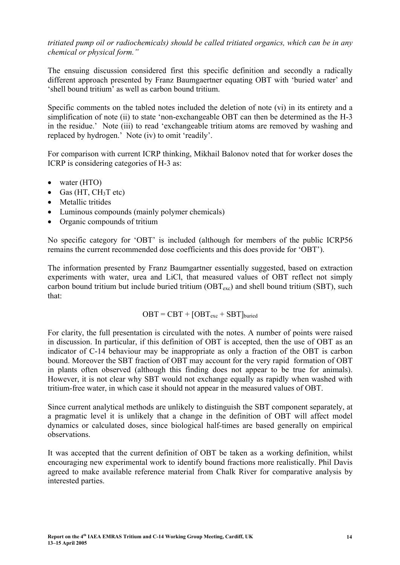*tritiated pump oil or radiochemicals) should be called tritiated organics, which can be in any chemical or physical form."* 

The ensuing discussion considered first this specific definition and secondly a radically different approach presented by Franz Baumgaertner equating OBT with 'buried water' and 'shell bound tritium' as well as carbon bound tritium.

Specific comments on the tabled notes included the deletion of note (vi) in its entirety and a simplification of note (ii) to state 'non-exchangeable OBT can then be determined as the H-3 in the residue.' Note (iii) to read 'exchangeable tritium atoms are removed by washing and replaced by hydrogen.' Note (iv) to omit 'readily'.

For comparison with current ICRP thinking, Mikhail Balonov noted that for worker doses the ICRP is considering categories of H-3 as:

- water (HTO)
- Gas (HT,  $CH<sub>3</sub>T$  etc)
- Metallic tritides
- Luminous compounds (mainly polymer chemicals)
- Organic compounds of tritium

No specific category for 'OBT' is included (although for members of the public ICRP56 remains the current recommended dose coefficients and this does provide for 'OBT').

The information presented by Franz Baumgartner essentially suggested, based on extraction experiments with water, urea and LiCl, that measured values of OBT reflect not simply carbon bound tritium but include buried tritium  $(OBT<sub>exc</sub>)$  and shell bound tritium (SBT), such that:

$$
OBT = CBT + [OBT_{exc} + SBT]_{buried}
$$

For clarity, the full presentation is circulated with the notes. A number of points were raised in discussion. In particular, if this definition of OBT is accepted, then the use of OBT as an indicator of C-14 behaviour may be inappropriate as only a fraction of the OBT is carbon bound. Moreover the SBT fraction of OBT may account for the very rapid formation of OBT in plants often observed (although this finding does not appear to be true for animals). However, it is not clear why SBT would not exchange equally as rapidly when washed with tritium-free water, in which case it should not appear in the measured values of OBT.

Since current analytical methods are unlikely to distinguish the SBT component separately, at a pragmatic level it is unlikely that a change in the definition of OBT will affect model dynamics or calculated doses, since biological half-times are based generally on empirical observations.

It was accepted that the current definition of OBT be taken as a working definition, whilst encouraging new experimental work to identify bound fractions more realistically. Phil Davis agreed to make available reference material from Chalk River for comparative analysis by interested parties.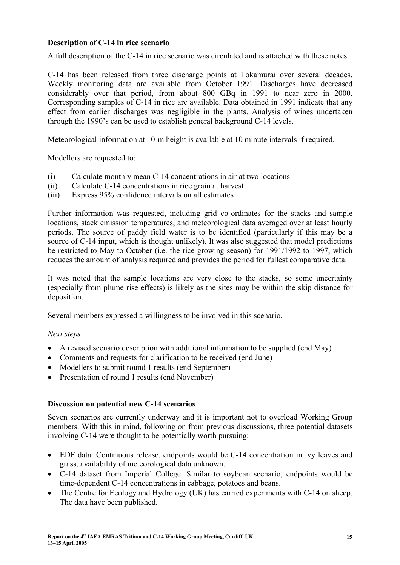### **Description of C-14 in rice scenario**

A full description of the C-14 in rice scenario was circulated and is attached with these notes.

C-14 has been released from three discharge points at Tokamurai over several decades. Weekly monitoring data are available from October 1991. Discharges have decreased considerably over that period, from about 800 GBq in 1991 to near zero in 2000. Corresponding samples of C-14 in rice are available. Data obtained in 1991 indicate that any effect from earlier discharges was negligible in the plants. Analysis of wines undertaken through the 1990's can be used to establish general background C-14 levels.

Meteorological information at 10-m height is available at 10 minute intervals if required.

Modellers are requested to:

- (i) Calculate monthly mean C-14 concentrations in air at two locations
- (ii) Calculate C-14 concentrations in rice grain at harvest
- (iii) Express 95% confidence intervals on all estimates

Further information was requested, including grid co-ordinates for the stacks and sample locations, stack emission temperatures, and meteorological data averaged over at least hourly periods. The source of paddy field water is to be identified (particularly if this may be a source of C-14 input, which is thought unlikely). It was also suggested that model predictions be restricted to May to October (i.e. the rice growing season) for 1991/1992 to 1997, which reduces the amount of analysis required and provides the period for fullest comparative data.

It was noted that the sample locations are very close to the stacks, so some uncertainty (especially from plume rise effects) is likely as the sites may be within the skip distance for deposition.

Several members expressed a willingness to be involved in this scenario.

#### *Next steps*

- A revised scenario description with additional information to be supplied (end May)
- Comments and requests for clarification to be received (end June)
- Modellers to submit round 1 results (end September)
- Presentation of round 1 results (end November)

#### **Discussion on potential new C-14 scenarios**

Seven scenarios are currently underway and it is important not to overload Working Group members. With this in mind, following on from previous discussions, three potential datasets involving C-14 were thought to be potentially worth pursuing:

- EDF data: Continuous release, endpoints would be C-14 concentration in ivy leaves and grass, availability of meteorological data unknown.
- C-14 dataset from Imperial College. Similar to soybean scenario, endpoints would be time-dependent C-14 concentrations in cabbage, potatoes and beans.
- The Centre for Ecology and Hydrology (UK) has carried experiments with C-14 on sheep. The data have been published.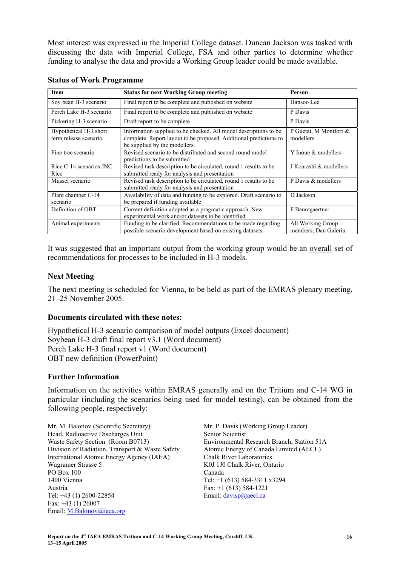Most interest was expressed in the Imperial College dataset. Duncan Jackson was tasked with discussing the data with Imperial College, FSA and other parties to determine whether funding to analyse the data and provide a Working Group leader could be made available.

| <b>Item</b>                                     | <b>Status for next Working Group meeting</b>                                                                                                                           | Person                                    |
|-------------------------------------------------|------------------------------------------------------------------------------------------------------------------------------------------------------------------------|-------------------------------------------|
| Soy bean H-3 scenario                           | Final report to be complete and published on website                                                                                                                   | Hansoo Lee                                |
| Perch Lake H-3 scenario                         | Final report to be complete and published on website                                                                                                                   | P Davis                                   |
| Pickering H-3 scenario                          | Draft report to be complete.                                                                                                                                           | P Davis                                   |
| Hypothetical H-3 short<br>term release scenario | Information supplied to be checked. All model descriptions to be<br>complete. Report layout to be proposed. Additional predictions to<br>be supplied by the modellers. | P Guetat, M Montfort &<br>modellers       |
| Pine tree scenario                              | Revised scenario to be distributed and second round model<br>predictions to be submitted                                                                               | Y Inoue & modellers                       |
| Rice C-14 scenarios JNC<br>Rice                 | Revised task description to be circulated, round 1 results to be<br>submitted ready for analysis and presentation                                                      | J Koarashi & modellers                    |
| Mussel scenario                                 | Revised task description to be circulated, round 1 results to be<br>submitted ready for analysis and presentation                                                      | P Davis & modellers                       |
| Plant chamber C-14<br>scenario                  | Availability of data and funding to be explored. Draft scenario to<br>be prepared if funding available                                                                 | D Jackson                                 |
| Definition of OBT                               | Current definition adopted as a pragmatic approach. New<br>experimental work and/or datasets to be identified                                                          | F Baumgaertner                            |
| Animal experiments                              | Funding to be clarified. Recommendations to be made regarding<br>possible scenario development based on existing datasets.                                             | All Working Group<br>members; Dan Galeriu |

#### **Status of Work Programme**

It was suggested that an important output from the working group would be an overall set of recommendations for processes to be included in H-3 models.

#### **Next Meeting**

The next meeting is scheduled for Vienna, to be held as part of the EMRAS plenary meeting, 21–25 November 2005.

#### **Documents circulated with these notes:**

Hypothetical H-3 scenario comparison of model outputs (Excel document) Soybean H-3 draft final report v3.1 (Word document) Perch Lake H-3 final report v1 (Word document) OBT new definition (PowerPoint)

#### **Further Information**

Information on the activities within EMRAS generally and on the Tritium and C-14 WG in particular (including the scenarios being used for model testing), can be obtained from the following people, respectively:

Mr. M. Balonov (Scientific Secretary) Head, Radioactive Discharges Unit Waste Safety Section (Room B0713) Division of Radiation, Transport & Waste Safety International Atomic Energy Agency (IAEA) Wagramer Strasse 5 PO Box 100 1400 Vienna Austria Tel: +43 (1) 2600-22854 Fax: +43 (1) 26007 Email: M.Balonov@iaea.org

Mr. P. Davis (Working Group Leader) Senior Scientist Environmental Research Branch, Station 51A Atomic Energy of Canada Limited (AECL) Chalk River Laboratories K0J 1J0 Chalk River, Ontario Canada Tel: +1 (613) 584-3311 x3294 Fax: +1 (613) 584-1221 Email: davisp@aecl.ca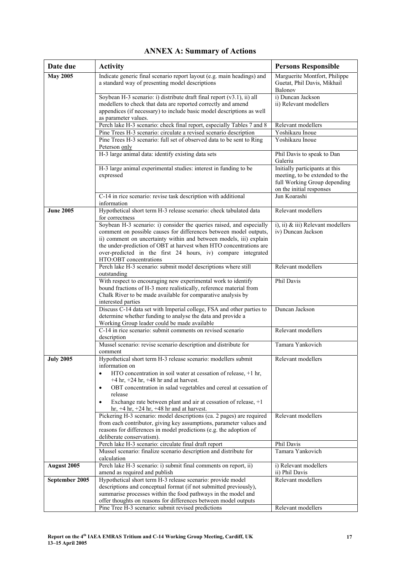| Date due         | <b>Activity</b>                                                                                                                                                                                                                                                                                                                                                                                                                   | <b>Persons Responsible</b>                                                                                                   |
|------------------|-----------------------------------------------------------------------------------------------------------------------------------------------------------------------------------------------------------------------------------------------------------------------------------------------------------------------------------------------------------------------------------------------------------------------------------|------------------------------------------------------------------------------------------------------------------------------|
| <b>May 2005</b>  | Indicate generic final scenario report layout (e.g. main headings) and<br>a standard way of presenting model descriptions                                                                                                                                                                                                                                                                                                         | Marguerite Montfort, Philippe<br>Guetat, Phil Davis, Mikhail<br>Balonov                                                      |
|                  | Soybean H-3 scenario: i) distribute draft final report $(v3.1)$ , ii) all<br>modellers to check that data are reported correctly and amend<br>appendices (if necessary) to include basic model descriptions as well<br>as parameter values.                                                                                                                                                                                       | i) Duncan Jackson<br>ii) Relevant modellers                                                                                  |
|                  | Perch lake H-3 scenario: check final report, especially Tables 7 and 8                                                                                                                                                                                                                                                                                                                                                            | Relevant modellers                                                                                                           |
|                  | Pine Trees H-3 scenario: circulate a revised scenario description<br>Pine Trees H-3 scenario: full set of observed data to be sent to Ring                                                                                                                                                                                                                                                                                        | Yoshikazu Inoue<br>Yoshikazu Inoue                                                                                           |
|                  | Peterson only                                                                                                                                                                                                                                                                                                                                                                                                                     |                                                                                                                              |
|                  | H-3 large animal data: identify existing data sets                                                                                                                                                                                                                                                                                                                                                                                | Phil Davis to speak to Dan<br>Galeriu                                                                                        |
|                  | H-3 large animal experimental studies: interest in funding to be<br>expressed                                                                                                                                                                                                                                                                                                                                                     | Initially participants at this<br>meeting, to be extended to the<br>full Working Group depending<br>on the initial responses |
|                  | C-14 in rice scenario: revise task description with additional<br>information                                                                                                                                                                                                                                                                                                                                                     | Jun Koarashi                                                                                                                 |
| <b>June 2005</b> | Hypothetical short term H-3 release scenario: check tabulated data<br>for correctness                                                                                                                                                                                                                                                                                                                                             | Relevant modellers                                                                                                           |
|                  | Soybean H-3 scenario: i) consider the queries raised, and especially<br>comment on possible causes for differences between model outputs,<br>ii) comment on uncertainty within and between models, iii) explain<br>the under-prediction of OBT at harvest when HTO concentrations are<br>over-predicted in the first 24 hours, iv) compare integrated<br>HTO:OBT concentrations                                                   | i), ii) & iii) Relevant modellers<br>iv) Duncan Jackson                                                                      |
|                  | Perch lake H-3 scenario: submit model descriptions where still<br>outstanding                                                                                                                                                                                                                                                                                                                                                     | Relevant modellers                                                                                                           |
|                  | With respect to encouraging new experimental work to identify<br>bound fractions of H-3 more realistically, reference material from<br>Chalk River to be made available for comparative analysis by<br>interested parties                                                                                                                                                                                                         | Phil Davis                                                                                                                   |
|                  | Discuss C-14 data set with Imperial college, FSA and other parties to<br>determine whether funding to analyse the data and provide a<br>Working Group leader could be made available                                                                                                                                                                                                                                              | Duncan Jackson                                                                                                               |
|                  | C-14 in rice scenario: submit comments on revised scenario<br>description                                                                                                                                                                                                                                                                                                                                                         | Relevant modellers                                                                                                           |
|                  | Mussel scenario: revise scenario description and distribute for<br>comment                                                                                                                                                                                                                                                                                                                                                        | Tamara Yankovich                                                                                                             |
| <b>July 2005</b> | Hypothetical short term H-3 release scenario: modellers submit<br>information on<br>HTO concentration in soil water at cessation of release, +1 hr,<br>$+4$ hr, $+24$ hr, $+48$ hr and at harvest.<br>OBT concentration in salad vegetables and cereal at cessation of<br>$\bullet$<br>release<br>Exchange rate between plant and air at cessation of release, +1<br>$\bullet$<br>hr, $+4$ hr, $+24$ hr, $+48$ hr and at harvest. | Relevant modellers                                                                                                           |
|                  | Pickering H-3 scenario: model descriptions (ca. 2 pages) are required<br>from each contributor, giving key assumptions, parameter values and<br>reasons for differences in model predictions (e.g. the adoption of<br>deliberate conservatism).                                                                                                                                                                                   | Relevant modellers                                                                                                           |
|                  | Perch lake H-3 scenario: circulate final draft report                                                                                                                                                                                                                                                                                                                                                                             | Phil Davis                                                                                                                   |
|                  | Mussel scenario: finalize scenario description and distribute for<br>calculation                                                                                                                                                                                                                                                                                                                                                  | Tamara Yankovich                                                                                                             |
| August 2005      | Perch lake H-3 scenario: i) submit final comments on report, ii)<br>amend as required and publish                                                                                                                                                                                                                                                                                                                                 | i) Relevant modellers<br>ii) Phil Davis                                                                                      |
| September 2005   | Hypothetical short term H-3 release scenario: provide model<br>descriptions and conceptual format (if not submitted previously),<br>summarise processes within the food pathways in the model and<br>offer thoughts on reasons for differences between model outputs<br>Pine Tree H-3 scenario: submit revised predictions                                                                                                        | Relevant modellers<br>Relevant modellers                                                                                     |
|                  |                                                                                                                                                                                                                                                                                                                                                                                                                                   |                                                                                                                              |

# **ANNEX A: Summary of Actions**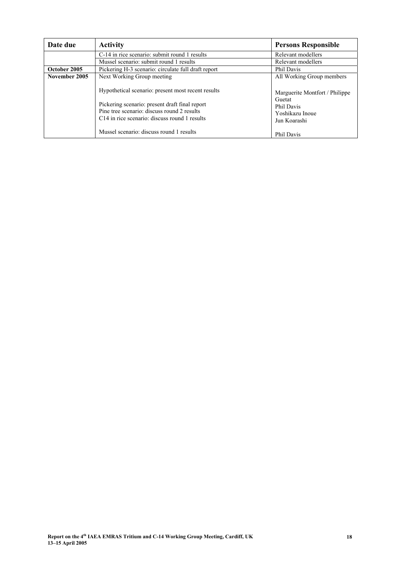| Date due      | <b>Activity</b>                                                                                                                                                                                                  | <b>Persons Responsible</b>                                                                |
|---------------|------------------------------------------------------------------------------------------------------------------------------------------------------------------------------------------------------------------|-------------------------------------------------------------------------------------------|
|               | C-14 in rice scenario: submit round 1 results                                                                                                                                                                    | Relevant modellers                                                                        |
|               | Mussel scenario: submit round 1 results                                                                                                                                                                          | Relevant modellers                                                                        |
| October 2005  | Pickering H-3 scenario: circulate full draft report                                                                                                                                                              | Phil Davis                                                                                |
| November 2005 | Next Working Group meeting                                                                                                                                                                                       | All Working Group members                                                                 |
|               | Hypothetical scenario: present most recent results<br>Pickering scenario: present draft final report<br>Pine tree scenario: discuss round 2 results<br>C <sub>14</sub> in rice scenario: discuss round 1 results | Marguerite Montfort / Philippe<br>Guetat<br>Phil Davis<br>Yoshikazu Inoue<br>Jun Koarashi |
|               | Mussel scenario: discuss round 1 results                                                                                                                                                                         | Phil Davis                                                                                |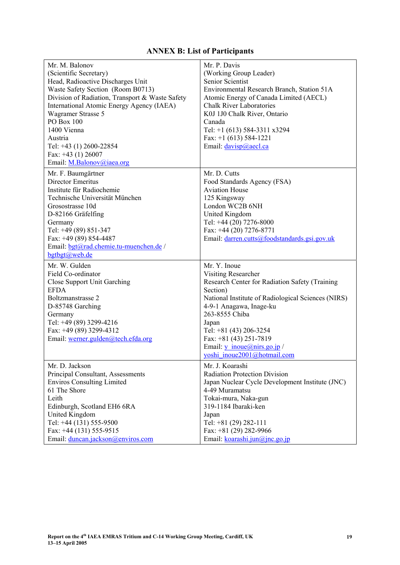# **ANNEX B: List of Participants**

| Mr. M. Balonov<br>(Scientific Secretary)<br>Head, Radioactive Discharges Unit<br>Waste Safety Section (Room B0713)<br>Division of Radiation, Transport & Waste Safety<br>International Atomic Energy Agency (IAEA)<br>Wagramer Strasse 5<br>PO Box 100<br>1400 Vienna<br>Austria<br>Tel: +43 (1) 2600-22854<br>Fax: $+43$ (1) 26007<br>Email: M.Balonov@iaea.org | Mr. P. Davis<br>(Working Group Leader)<br>Senior Scientist<br>Environmental Research Branch, Station 51A<br>Atomic Energy of Canada Limited (AECL)<br><b>Chalk River Laboratories</b><br>K0J 1J0 Chalk River, Ontario<br>Canada<br>Tel: +1 (613) 584-3311 x3294<br>Fax: $+1$ (613) 584-1221<br>Email: davisp@aecl.ca                           |
|------------------------------------------------------------------------------------------------------------------------------------------------------------------------------------------------------------------------------------------------------------------------------------------------------------------------------------------------------------------|------------------------------------------------------------------------------------------------------------------------------------------------------------------------------------------------------------------------------------------------------------------------------------------------------------------------------------------------|
| Mr. F. Baumgärtner<br>Director Emeritus<br>Institute für Radiochemie<br>Technische Universität München<br>Grosostrasse 10d<br>D-82166 Gräfelfing<br>Germany<br>Tel: +49 (89) 851-347<br>Fax: +49 (89) 854-4487<br>Email: bgt@rad.chemie.tu-muenchen.de /<br>bgtbgt@web.de                                                                                        | Mr. D. Cutts<br>Food Standards Agency (FSA)<br><b>Aviation House</b><br>125 Kingsway<br>London WC2B 6NH<br>United Kingdom<br>Tel: +44 (20) 7276-8000<br>Fax: +44 (20) 7276-8771<br>Email: darren.cutts@foodstandards.gsi.gov.uk                                                                                                                |
| Mr. W. Gulden<br>Field Co-ordinator<br>Close Support Unit Garching<br><b>EFDA</b><br>Boltzmanstrasse 2<br>D-85748 Garching<br>Germany<br>Tel: +49 (89) 3299-4216<br>Fax: +49 (89) 3299-4312<br>Email: werner.gulden@tech.efda.org                                                                                                                                | Mr. Y. Inoue<br>Visiting Researcher<br>Research Center for Radiation Safety (Training<br>Section)<br>National Institute of Radiological Sciences (NIRS)<br>4-9-1 Anagawa, Inage-ku<br>263-8555 Chiba<br>Japan<br>Tel: +81 (43) 206-3254<br>Fax: $+81$ (43) 251-7819<br>Email: $y$ inoue( $\partial$ nirs.go.jp/<br>yoshi inoue2001@hotmail.com |
| Mr. D. Jackson<br>Principal Consultant, Assessments<br><b>Enviros Consulting Limited</b><br>61 The Shore<br>Leith<br>Edinburgh, Scotland EH6 6RA<br>United Kingdom<br>Tel: +44 (131) 555-9500<br>Fax: +44 (131) 555-9515<br>Email: duncan.jackson@enviros.com                                                                                                    | Mr. J. Koarashi<br><b>Radiation Protection Division</b><br>Japan Nuclear Cycle Development Institute (JNC)<br>4-49 Muramatsu<br>Tokai-mura, Naka-gun<br>319-1184 Ibaraki-ken<br>Japan<br>Tel: +81 (29) 282-111<br>Fax: +81 (29) 282-9966<br>Email: koarashi.jun@jnc.go.jp                                                                      |